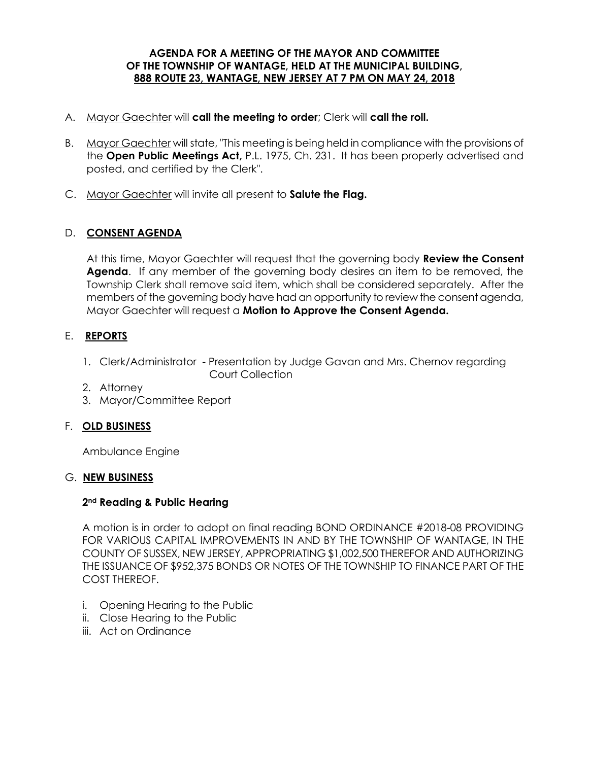### **AGENDA FOR A MEETING OF THE MAYOR AND COMMITTEE OF THE TOWNSHIP OF WANTAGE, HELD AT THE MUNICIPAL BUILDING, 888 ROUTE 23, WANTAGE, NEW JERSEY AT 7 PM ON MAY 24, 2018**

- A. Mayor Gaechter will **call the meeting to order**; Clerk will **call the roll.**
- B. Mayor Gaechter will state, "This meeting is being held in compliance with the provisions of the **Open Public Meetings Act,** P.L. 1975, Ch. 231. It has been properly advertised and posted, and certified by the Clerk".
- C. Mayor Gaechter will invite all present to **Salute the Flag.**

# D. **CONSENT AGENDA**

At this time, Mayor Gaechter will request that the governing body **Review the Consent Agenda**. If any member of the governing body desires an item to be removed, the Township Clerk shall remove said item, which shall be considered separately. After the members of the governing body have had an opportunity to review the consent agenda, Mayor Gaechter will request a **Motion to Approve the Consent Agenda.** 

# E. **REPORTS**

- 1. Clerk/Administrator Presentation by Judge Gavan and Mrs. Chernov regarding Court Collection
- 2. Attorney
- 3. Mayor/Committee Report

### F. **OLD BUSINESS**

Ambulance Engine

### G. **NEW BUSINESS**

### **2nd Reading & Public Hearing**

A motion is in order to adopt on final reading BOND ORDINANCE #2018-08 PROVIDING FOR VARIOUS CAPITAL IMPROVEMENTS IN AND BY THE TOWNSHIP OF WANTAGE, IN THE COUNTY OF SUSSEX, NEW JERSEY, APPROPRIATING \$1,002,500 THEREFOR AND AUTHORIZING THE ISSUANCE OF \$952,375 BONDS OR NOTES OF THE TOWNSHIP TO FINANCE PART OF THE COST THEREOF.

- i. Opening Hearing to the Public
- ii. Close Hearing to the Public
- iii. Act on Ordinance